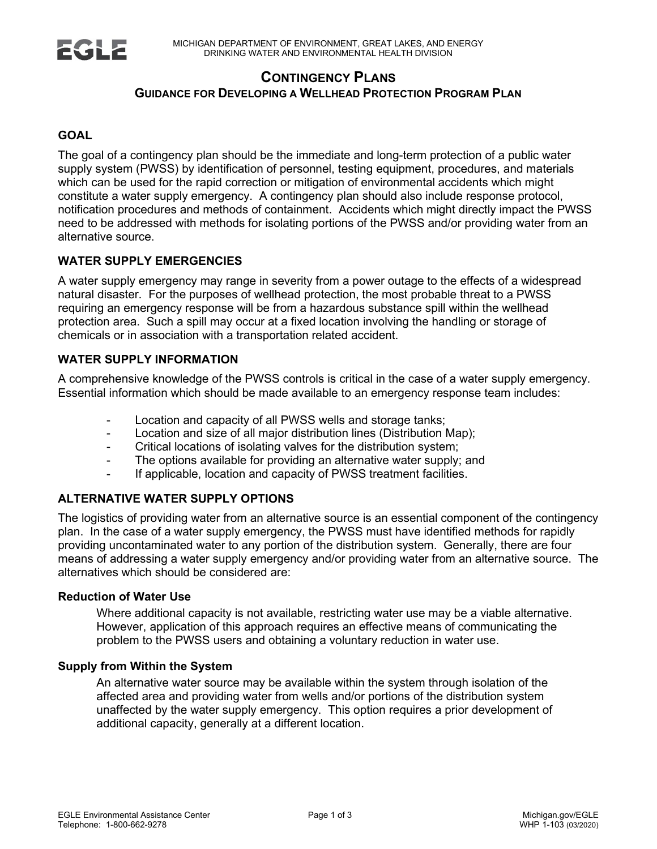

# **CONTINGENCY PLANS GUIDANCE FOR DEVELOPING A WELLHEAD PROTECTION PROGRAM PLAN**

# **GOAL**

The goal of a contingency plan should be the immediate and long-term protection of a public water supply system (PWSS) by identification of personnel, testing equipment, procedures, and materials which can be used for the rapid correction or mitigation of environmental accidents which might constitute a water supply emergency. A contingency plan should also include response protocol, notification procedures and methods of containment. Accidents which might directly impact the PWSS need to be addressed with methods for isolating portions of the PWSS and/or providing water from an alternative source.

# **WATER SUPPLY EMERGENCIES**

A water supply emergency may range in severity from a power outage to the effects of a widespread natural disaster. For the purposes of wellhead protection, the most probable threat to a PWSS requiring an emergency response will be from a hazardous substance spill within the wellhead protection area. Such a spill may occur at a fixed location involving the handling or storage of chemicals or in association with a transportation related accident.

# **WATER SUPPLY INFORMATION**

A comprehensive knowledge of the PWSS controls is critical in the case of a water supply emergency. Essential information which should be made available to an emergency response team includes:

- Location and capacity of all PWSS wells and storage tanks;
- Location and size of all major distribution lines (Distribution Map);
- Critical locations of isolating valves for the distribution system;
- The options available for providing an alternative water supply; and
- If applicable, location and capacity of PWSS treatment facilities.

# **ALTERNATIVE WATER SUPPLY OPTIONS**

The logistics of providing water from an alternative source is an essential component of the contingency plan. In the case of a water supply emergency, the PWSS must have identified methods for rapidly providing uncontaminated water to any portion of the distribution system. Generally, there are four means of addressing a water supply emergency and/or providing water from an alternative source. The alternatives which should be considered are:

#### **Reduction of Water Use**

Where additional capacity is not available, restricting water use may be a viable alternative. However, application of this approach requires an effective means of communicating the problem to the PWSS users and obtaining a voluntary reduction in water use.

#### **Supply from Within the System**

An alternative water source may be available within the system through isolation of the affected area and providing water from wells and/or portions of the distribution system unaffected by the water supply emergency. This option requires a prior development of additional capacity, generally at a different location.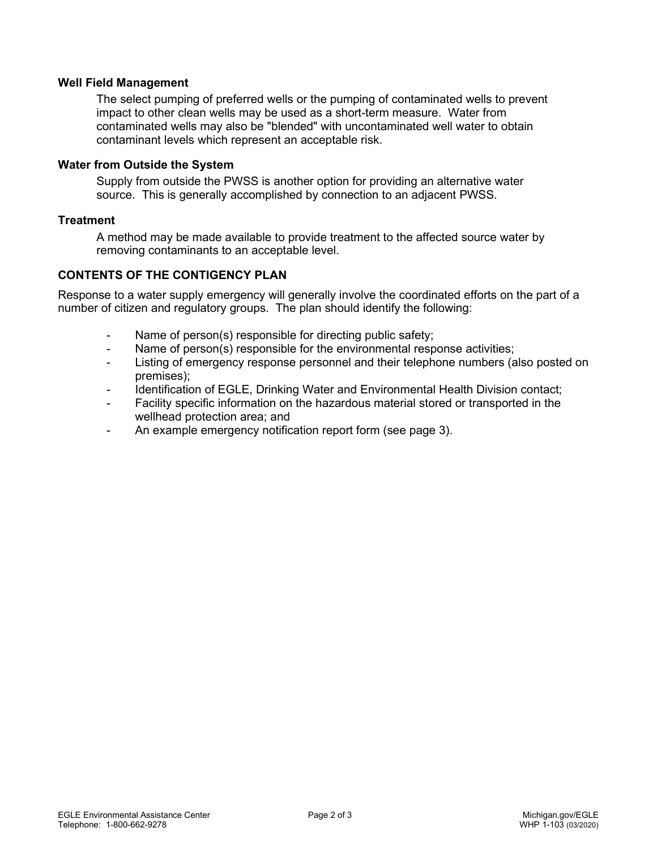### **Well Field Management**

The select pumping of preferred wells or the pumping of contaminated wells to prevent impact to other clean wells may be used as a short-term measure. Water from contaminated wells may also be "blended" with uncontaminated well water to obtain contaminant levels which represent an acceptable risk.

#### **Water from Outside the System**

Supply from outside the PWSS is another option for providing an alternative water source. This is generally accomplished by connection to an adjacent PWSS.

### **Treatment**

A method may be made available to provide treatment to the affected source water by removing contaminants to an acceptable level.

## **CONTENTS OF THE CONTIGENCY PLAN**

Response to a water supply emergency will generally involve the coordinated efforts on the part of a number of citizen and regulatory groups. The plan should identify the following:

- Name of person(s) responsible for directing public safety;
- Name of person(s) responsible for the environmental response activities;
- Listing of emergency response personnel and their telephone numbers (also posted on premises);
- Identification of EGLE, Drinking Water and Environmental Health Division contact;
- Facility specific information on the hazardous material stored or transported in the wellhead protection area; and
- An example emergency notification report form (see page 3).